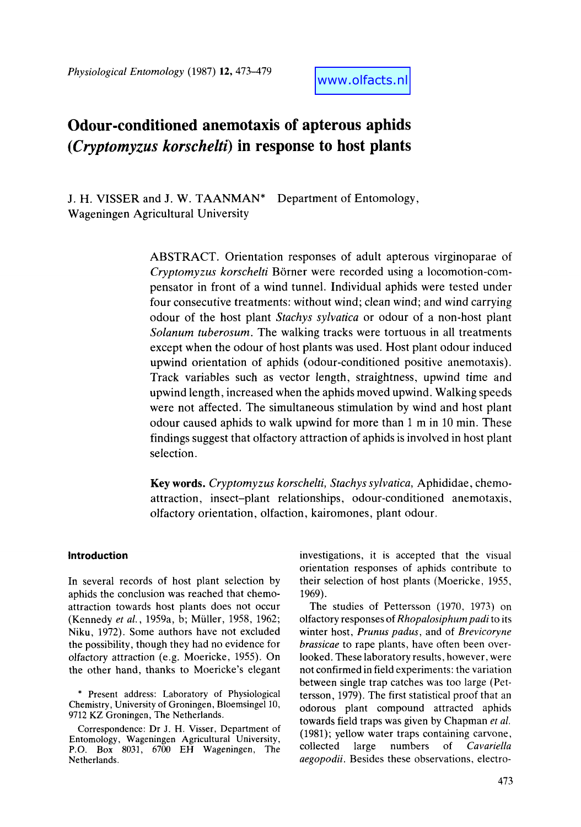*Physiological Entomology* (1987) 12,473-479

www.olfacts.nl

# **Odour-conditioned anemotaxis of apterous aphids**  *(Cryptomyzus korschelti)* **in response to host plants**

J. H. **VISSER** and **J.** W. TAANMAN\* Wageningen Agricultural University Department of Entomology,

> ABSTRACT. Orientation responses of adult apterous virginoparae of *Cryptomyzus korschelti* Borner were recorded using a locomotion-compensator in front of a wind tunnel. Individual aphids were tested under four consecutive treatments: without wind; clean wind; and wind carrying odour of the host plant *Stachys sylvatica* or odour of a non-host plant *Solanum tuberosum.* The walking tracks were tortuous in all treatments except when the odour of host plants was used. Host plant odour induced upwind orientation of aphids (odour-conditioned positive anemotaxis). Track variables such as vector length, straightness, upwind time and upwind length, increased when the aphids moved upwind. Walking speeds were not affected. The simultaneous stimulation by wind and host plant odour caused aphids to walk upwind for more than 1 m in 10 min. These findings suggest that olfactory attraction of aphids is involved in host plant selection.

> **Key words.** *Cryptomyzus korschelti, Stachys sylvatica,* Aphididae, chemoattraction, insect-plant relationships, odour-conditioned anemotaxis, olfactory orientation, olfaction, kairomones, plant odour.

# **Introduction**

In several records of host plant selection by aphids the conclusion was reached that chemoattraction towards host plants does not occur (Kennedy *et al.,* 1959a, b; Miiller, 1958, 1962; Niku, 1972). Some authors have not excluded the possibility, though they had no evidence for olfactory attraction (e.g. Moericke, 1955). On the other hand, thanks to Moericke's elegant

\* Present address: Laboratory of Physiological Chemistry, University of Groningen, Bloemsingel 10, 9712 KZ Groningen, The Netherlands.

Correspondence: Dr J. H. Visser, Department of Entomology, Wageningen Agricultural University, P.O. **Box** 8031, 6700 EH Wageningen, The Netherlands.

investigations, it is accepted that the visual orientation responses of aphids contribute to their selection of host plants (Moericke, 1955, 1969).

The studies of Pettersson (1970, 1973) on olfactory responses of *Rhopalosiphumpadi* to its winter host, *Prunus padus,* and of *Brevicoryne brassicae* to rape plants, have often been overlooked. These laboratory results, however, were not confirmed in field experiments: the variation between single trap catches was too large (Pettersson, 1979). The first statistical proof that an odorous plant compound attracted aphids towards field traps was given by Chapman *et a!.*  (1981); yellow water traps containing carvone, collected large numbers of *Cavariella aegopodii.* Besides these observations, electro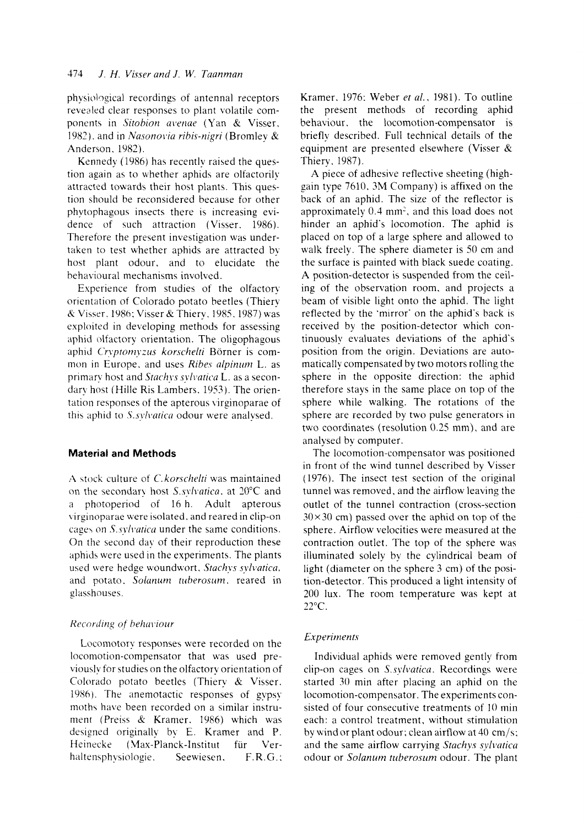physiolqgical recordings of antenna1 receptors revealed clear responses to plant volatile components in *Sitobion avenae* (Yan & Visser, 1982), and in *Nasonovia ribis-nigri* (Bromley & Anderson, 1982).

Kennedy (1986) has recently raised the question again as to whether aphids are olfactorily attracted towards their host plants. This question should be reconsidered because for other phytophagous insects there is increasing evidence of such attraction (Visser. 1986). Therefore the present investigation was undertaken to test whether aphids are attracted by host plant odour, and to elucidate the hehavioural mechanisms involved.

Experience from studies of the olfactory orientation of Colorado potato beetles (Thiery *B* Vibser. l98h; Visser& Thiery. 1985. 1987) was exploited in developing methods for assessing aphid olfactory orientation. The oligophagous aphid Cryptomyzus korschelti Börner is common in Europe, and uses *Ribes alpinum* L. as primary host and *Stachys sylvatica* L. as a secondary host (Hille Ris Lambers. 1953). The orientation responses of the apterous \ irginoparae of this aphid to *S.sylvatica* odour were analysed.

## **Material and Methods**

A stock culture of *C. korschelti* was maintained on the secondary host *S.sylvatica*, at 20°C and a photoperiod of 16 h. Adult apterous virginoparae were isolated, and reared in clip-on *cage\* on **S.** *ryhuricn* under the same conditions. On the second day of their reproduction these aphids were used in the experiments. The plants used were hedge woundwort. Stachys sylvatica. and potato. Solanum tuberosum. reared in glasshouses.

# *Rccordirrg of hrhrwinur*

Locomotory responses were recorded on the locomotion-compensator that was used previously for studies on the olfactory orientation of Colorado potato beetles (Thiery & Visser. 1986). The anemotactic responses of gypsy moths have been recorded on a similar instrument (Preiss & Kramer. 1986) which was desipned originally by E. Kramer and P. Heinecke (Max-Planck-Institut für Verhaltensphysiologie. Seewiesen. F.R.G.:

Kramer. 1976: Weber *er a/.,* 1981). To outline the present methods of recording aphid behaviour. the locomotion-compensator is briefly described. Full technical details of the equipment are presented elsewhere (Visser & Thiery. 1987).

**A** piece of adhesive reflective sheeting (highgain type 7610. 3M Company) is affixed on the back of an aphid. The size of the reflector is approximately **0.3** mm', and this load does not hinder an aphid's locomotion. The aphid is placed on top of a large sphere and allowed to walk freely. The sphere diameter is 50 cm and the surface is painted with black suede coating. **A** position-detector is suspended from the ceiling of the observation room, and projects a beam of visible light onto the aphid. The light reflected by the 'mirror' on the aphid's back is received by the position-detector which continuously evaluates deviations of the aphid's position from the origin. Deviations are automatically compensated by two motors rolling the sphere in the opposite direction: the aphid therefore stays in the same place on top of the sphere while walking. The rotations of the sphere are recorded by two pulse generators in two coordinates (resolution 0.25 mm), and are analysed by computer.

The locomotion-compensator was positioned in front of the wind tunnel described by Visser (1976). The insect test section of the original tunnel was removed, and the airflow leaving the outlet of the tunnel contraction (cross-section  $30 \times 30$  cm) passed over the aphid on top of the sphere. Airflow velocities were measured at the contraction outlet. The top of the sphere was illuminated solely by the cylindrical beam of light (diameter on the sphere 3 cm) of the position-detector. This produced a light intensity of 200 lux. The room temperature was kept at 22°C.

### $Experiments$

Individual aphids were removed gently from clip-on cages on *S.sylvaticu.* Recordings were started 30 min after placing an aphid on the locomotion-compensator. The experiments consisted of four consecutive treatments of 10 min each: a control treatment, without stimulation by wind or plant odour : clean airflow at 40 cm/s: and the same airflow carrying *Stachys sylvaticu*  odour or *Solanum tuberosum* odour. The plant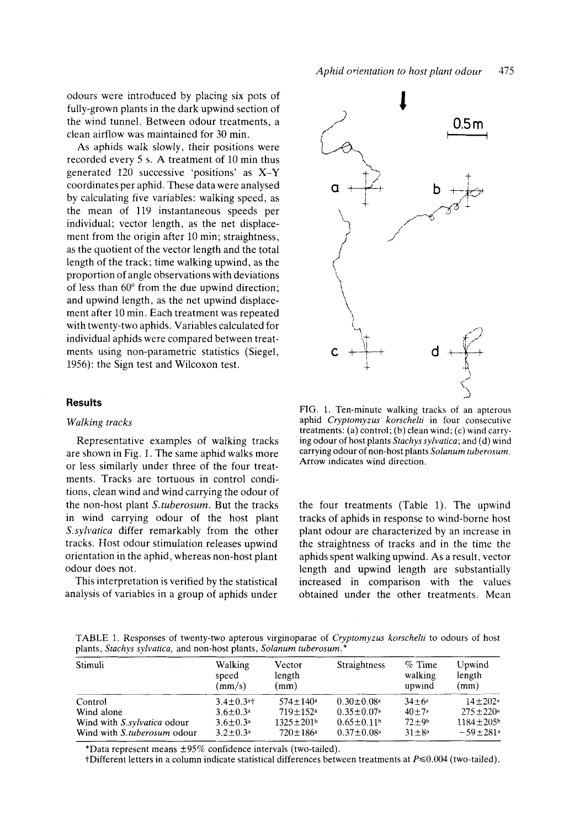odours were introduced by placing six pots of fully-grown plants in the dark upwind section of the wind tunnel. Between odour treatments, a clean airflow was maintained for 30 min.

**As** aphids walk slowly, their positions were recorded every *5* s. **A** treatment of 10 min thus generated 120 successive 'positions' as **X-Y**  coordinates per aphid. These data were analysed by calculating five variables: walking speed, as the mean of 119 instantaneous speeds per individual; vector length, as the net displacement from the origin after 10 min; straightness, as the quotient of the vector length and the total length of the track; time walking upwind, as the proportion of angle observations with deviations of less than 60" from the due upwind direction; and upwind length, as the net upwind displacement after 10 min. Each treatment was repeated with twenty-two aphids. Variables calculated for individual aphids were compared between treatments using non-parametric statistics (Siege], 1956): the Sign test and Wilcoxon test.

### **Results**

### *Walking tracks*

Representative examples of walking tracks are shown in Fig. 1. The same aphid walks more or less similarly under three of the four treatments. Tracks are tortuous in control conditions, clean wind and wind carrying the odour of the non-host plant *S.tuberosum.* But the tracks in wind carrying odour of the host plant *S.sylvatica* differ remarkably from the other tracks. Host odour stimulation releases upwind orientation in the aphid, whereas non-host plant odour does not.

This interpretation is verified by the statistical analysis of variables in a group of aphids under





FIG. 1. Ten-minute walking tracks of an apterous aphid *Cryptomyzus korschelti* in four consecutive treatments: (a) control; (b) clean wind; (c) wind carrying odour of host plants *Stachys sylvatica;* and (d) wind carrying odour of non-host plants *Solanum tuberosum.*  Arrow indicates wind direction.

the four treatments (Table 1). The upwind tracks of aphids in response to wind-borne host plant odour are characterized by an increase in the straightness of tracks and in the time the aphids spent walking upwind. As a result, vector length and upwind length are substantially increased in comparison with the values obtained under the other treatments. Mean

TABLE 1. Responses of twenty-two apterous virginoparae of *Crypfomyzus korschelti* to odours of host plants, *Stachys sylvatica,* and non-host plants, *Solanum fuberosum.\** 

| Stimuli                     | Walking<br>speed<br>(mm/s)  | Vector<br>length<br>(mm)   | Straightness                 | $%$ Time<br>walking<br>upwind | Upwind<br>length<br>(mm)    |
|-----------------------------|-----------------------------|----------------------------|------------------------------|-------------------------------|-----------------------------|
| Control                     | $3.4 \pm 0.3$ <sup>a+</sup> | $574 + 140$ a              | $0.30 \pm 0.08$ <sup>a</sup> | $34 + 6^{\circ}$              | $14 \pm 202a$               |
| Wind alone                  | $3.6 \pm 0.3^a$             | $719 \pm 152$ <sup>a</sup> | $0.35 \pm 0.07$ <sup>a</sup> | $40 + 7a$                     | $275 \pm 220$ <sup>a</sup>  |
| Wind with S.sylvatica odour | $3.6 \pm 0.3^a$             | $1325 \pm 201$             | $0.65 \pm 0.11$ <sup>b</sup> | $72 + 9b$                     | $1184 \pm 205$ <sup>b</sup> |
| Wind with S.tuberosum odour | $3.2 \pm 0.3^{\circ}$       | $720 \pm 186^{\circ}$      | $0.37 \pm 0.08$ <sup>a</sup> | $31 \pm 8^a$                  | $-59 \pm 281a$              |

\*Data represent means  $\pm 95\%$  confidence intervals (two-tailed).

 $t$ Different letters in a column indicate statistical differences between treatments at  $P \le 0.004$  (two-tailed).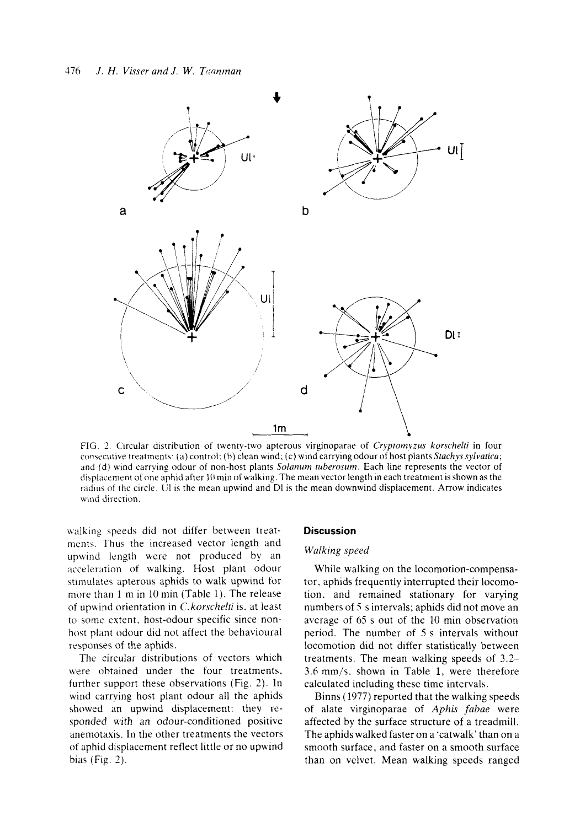

FIG. 2. Circular distribution of twenty-two apterous virginoparae of *Cryptomyzus korschelti* in four consecutive treatments: (a) control; (b) clean wind; (c) wind carrying odour of host plants *Stachys sylvatica*; and (d) wind carrying odour of non-host plants *Solanum tuberosum*. Each line represents the vector of displacement of one aphid after 10 min of walking. The mean vector length in each treatment is shown as the radius of the circle. UI is the mean upwind and DI is the mean downwind displacement. Arrow indicates wind direction.

ualking speeds did not differ between treatments. Thus the increased vector length and upwind length were not produced by an acceleration of walking. Host plant odour stimulates apterous aphids to walk upwind for more than 1 m in 10 min (Table 1). The release of upwind orientation in *C.korschelti* is, at least to some extent, host-odour specific since nonhost plant odour did not affect the behavioural responses of the aphids.

The circular distributions of vectors which were obtained under the four treatments, further support these observations (Fig. 2). In wind carrving host plant odour all the aphids showed an upwind displacement: they responded with an odour-conditioned positive anernotaxis. In the other treatments the vectors of aphid displacement reflect little or no upwind bias (Fig. 2).

#### **Discussion**

#### *Wulking speed*

While walking on the locomotion-compensator, aphids frequently interrupted their locomotion. and remained stationary for varying numbers of *5* s intervals; aphids did not move an average of 65 s out of the 10 min observation period. The number of 5 s intervals without locomotion did not differ statistically between treatments. The mean walking speeds of 3.2- 3.6 mm/s. shown in Table 1. were therefore calculated including these time intervals.

Binns (1977) reported that the walking speeds of alate virginoparae of *Aphis fubae* were affected by the surface structure of a treadmill. The aphids walked faster on a 'catwalk' than on a smooth surface, and faster on a smooth surface than on velvet. Mean walking speeds ranged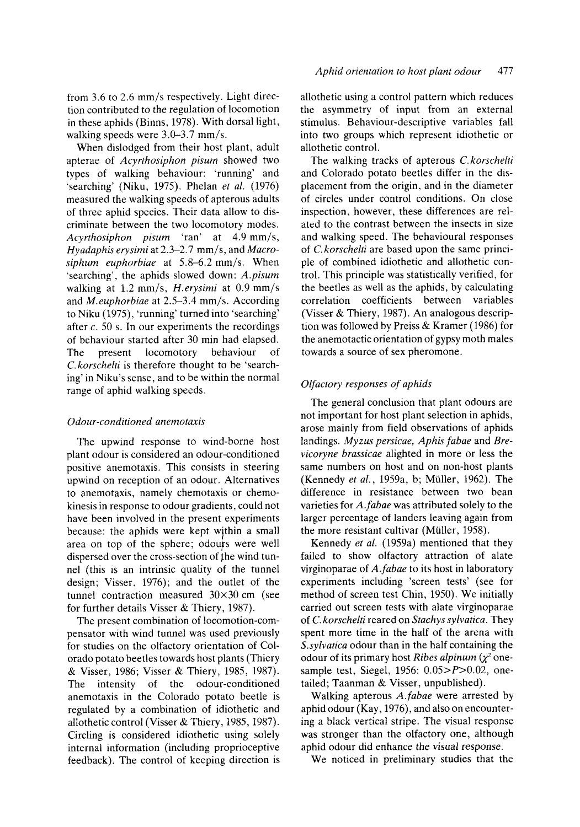When dislodged from their host plant, adult apterae of *Acyrthosiphon pisum* showed two types of walking behaviour: 'running' and 'searching' (Niku, 1975). Phelan *et a/.* (1976) measured the walking speeds of apterous adults of three aphid species. Their data allow to discriminate between the two locomotory modes. *Acyrthosiphon pisum* 'ran' at 4.9 mm/s, *Hyadaphis erysimi* at 2.3-2.7 mm/s, and *Macrosiphum euphorbiae* at *5.8-6.2* mm/s. When 'searching', the aphids slowed down: *A.pisum*  walking at 1.2 mm/s, *H.erysimi* at 0.9 mm/s and *M.euphorbiae* at 2.5-3.4 mm/s. According to Niku (1975), 'running' turned into 'searching' after *c.* 50 s. In our experiments the recordings of behaviour started after 30 min had elapsed. The present locomotory behaviour of C. *korschelti* is therefore thought to be 'searching' in Niku's sense, and to be within the normal range of aphid walking speeds.

# *Odour-conditioned anemotaxis*

The upwind response to wind-borne host plant odour is considered an odour-conditioned positive anemotaxis. This consists in steering upwind on reception of an odour. Alternatives to anemotaxis, namely chemotaxis or chemokinesis in response to odour gradients, could not have been involved in the present experiments because: the aphids were kept wjthin a small area on top of the sphere; odours were well dispersed over the cross-section of the wind tunnel (this is an intrinsic quality of the tunnel design; Visser, 1976); and the outlet of the tunnel contraction measured 30x30 cm (see for further details Visser & Thiery, 1987).

The present combination of locomotion-compensator with wind tunnel was used previously for studies on the olfactory orientation of Colorado potato beetles towards host plants (Thiery & Visser, 1986; Visser & Thiery, 1985, 1987). The intensity of the odour-conditioned anemotaxis in the Colorado potato beetle is regulated by a combination of idiothetic and allothetic control (Visser & Thiery, 1985, 1987). Circling is considered idiothetic using solely internal information (including proprioceptive feedback). The control of keeping direction is allothetic using a control pattern which reduces the asymmetry of input from an external stimulus. Behaviour-descriptive variables fall into two groups which represent idiothetic or allothetic control.

The walking tracks of apterous C. *korschelti*  and Colorado potato beetles differ in the displacement from the origin, and in the diameter of circles under control conditions. On close inspection, however, these differences are related to the contrast between the insects in size and walking speed. The behavioural responses of C. *korschelti* are based upon the same principle of combined idiothetic and allothetic control. This principle was statistically verified, for the beetles as well as the aphids, by calculating correlation coefficients between variables (Visser & Thiery, 1987). An analogous description was followed by Preiss & Kramer (1986) for the anemotactic orientation of gypsy moth males towards a source of sex pheromone.

# *Olfactory responses* of *aphids*

The general conclusion that plant odours are not important for host plant selection in aphids, arose mainly from field observations of aphids landings. *Myzus persicae, Aphis fabae* and *Brevicoryne brassicae* alighted in more or less the same numbers on host and on non-host plants (Kennedy *et a/.,* 1959a, b; Miiller, 1962). The difference in resistance between two bean varieties for *A.fubae* was attributed solely to the larger percentage of landers leaving again from the more resistant cultivar (Müller, 1958).

Kennedy *et al.* (1959a) mentioned that they failed to show olfactory attraction of alate virginoparae of *A.fabae* to its host in laboratory experiments including 'screen tests' (see for method of screen test Chin, 1950). We initially carried out screen tests with alate virginoparae of C. *korschelti* reared on *Stachys sylvatica.* They spent more time in the half of the arena with *S.sylvatica* odour than in the half containing the odour of its primary host *Ribes alpinum*  $(\chi^2$  onesample test, Siegel, 1956: *0.05>P>0.02,* onetailed; Taanman & Visser, unpublished).

Walking apterous *A.fabae* were arrested by aphid odour (Kay, 1976), and also on encountering a black vertical stripe. The visual response was stronger than the olfactory one, although aphid odour did enhance the visual response.

We noticed in preliminary studies that the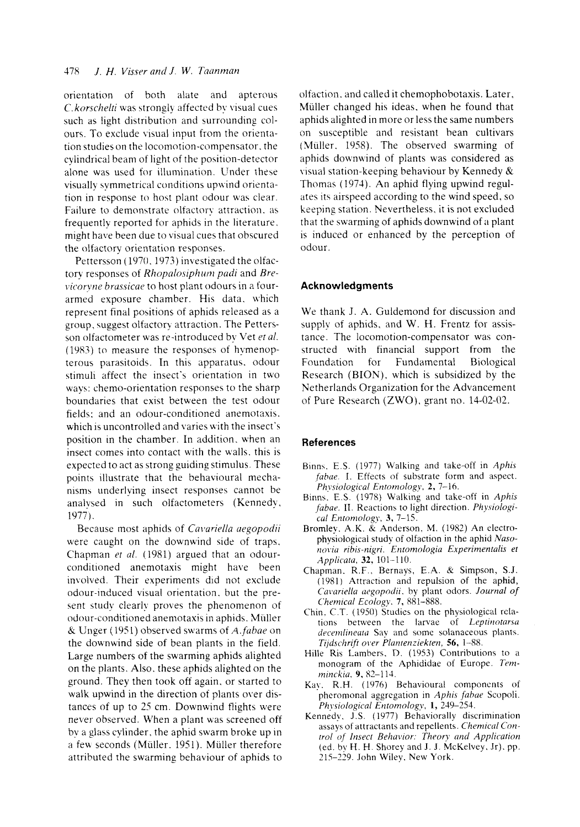orientation of both alate and apterous C. *korschelti* was strongly affected by visual cues such as light distribution and surrounding colours. To exclude visual input from the orientation studies on the locomotion-compensator. the cylindrical beam of light of the position-detector alone was used for illumination. Under these visually symmetrical conditions upwind orientation in response to host plant odour was clear. Failure to demonstrate olfactorx attraction. *as*  frequently reported for aphids in the literature. might have been due to visual cues that obscured the olfactory orientation responses.

Pettersson (1970, 1973) investigated the olfactory responses of *Rhopalosiphum padi* and *Brevicoryne brassicae* to host plant odours in a fourarmed exposure chamber. His data, which represent final positions of aphids released as a group, suggest olfactory attraction. The Pettersson olfactometer was re-introduced by Vet et al. (1983) to measure the responses of hymenopterous parasitoids. In this apparatus. odour stimuli affect the insect's orientation in two ways: chemo-orientation responses to the sharp boundaries that exist between the test odour fields: and an odour-conditioned anemotaxis. which is uncontrolled and varies with the insect's position in the chamber. In addition. when an insect comes into contact with the walls. this is expected to act as strong guiding stimulus. These points illustrate that the behavioural mechanisms underlying insect responses cannot be analysed in such olfactometers (Kennedy, 1977).

Because most aphids of *Cavariella aegopodii* were caught on the downwind side of traps. Chapman *et al.* (1981) argued that an odourconditioned anemotaxis might have been involved. Their experiments did not exclude odour-induced visual orientation. but the present study clearly proves the phenomenon of odour-conditioned anemotaxis in aphids. Miiller & Ungzr (195 1) observed swarms of A. *fuhne* on the downwind side of bean plants in the field. Large numbers of the swarming aphids alighted on the plants. Also. these aphids alighted on the ground. They then took off again. or started to walk upwind in the direction of plants over distances of up to 25 cm. Downwind flights were never observed. When a plant was screened off by a glass cylinder, the aphid swarm broke up in a few seconds (Miiller. 1951). Miiller therefore attributed the swarming behaviour of aphids to olfaction. and called it chemophobotaxis. Later. Miiller changed his ideas. when he found that aphids alighted in more or less the same numbers on susceptible and resistant bean cultivars (Müller, 1958). The observed swarming of aphids downwind of plants was considered as visual station-keeping behaviour by Kennedy & Thomas (1974). An aphid flying upwind regulates its airspeed according to the wind speed, so keeping station. Nevertheless. it is not excluded that the swarming of aphids downwind of **;i** plant is induced or enhanced by the perception of odour .

### **Acknowledgments**

We thank J. A. Guldemond for discussion and supply of aphids. and W. H. Frentz for assistance. The locomotion-compensator was constructed with financial support from the Foundation for Fundamental Biological Research (BION), which is subsidized by the Netherlands Organization for the Advancement of Pure Research (ZWO). grant no. 14-02-02.

### **References**

- Binns. E.S. (1977) Walking and take-off in *Aphis fabae.* I. Effects of substrate form and aspect. *Phxsiological Enrornology,* **2,** 7-16.
- Binns. E.S. (1978) Walking and take-off in *Aphis*  fabae. II. Reactions to light direction. *Physiological Entomology*, 3, 7-15.
- Bromley. **A.K.** & Anderson. M. (1982) **An** clectrophysiological study of olfaction in the aphid *Naso*not.ia *ribis-nigri. Entomologia Experimentalis* **ef**  *Applic(lt(Z,* **32,** 101-1 10.
- Chapman. R.F.. Bernays. **E.A.** *K:* Simpson, **S.J.**  (1981) Attraction and repulsion of the aphid, *Ccit,uriellu ciegopoclii.* hy plant odors. *Journal of C'hernical Ecology.* **7,** 881-888.
- Chin. C.T. (1950) Studies on the physiological rclations between the larvae of *Leprinorarsu*  decemlineata Say and some solanaceous plants. *Tijdschrfl ot'er Plunrenziekren, 56,* 1-88.
- Hille Ris Lambers. D. (1953) Contributions to a monogram of the Aphididae of Europe. *7emminckio,* **9,** 82-1 14.
- Kay. R.H. (1976) Behavioural components of phcromonal aggregation in *Aphis fahae* Scopoli. *Phyriological Entomology,* **1,** 249-254.
- Kennedy. J.S. ( 1077) Behaviorally discrimination assays of attractants and repellents. *Chemical Conrrol nf lnsect Behuvior: Theory crnd Ayplicurion*  (ed. by H. H. Shorey and **J. J.** McKelvey. Jr). pp. 215-229. John Wiley. New **York.**